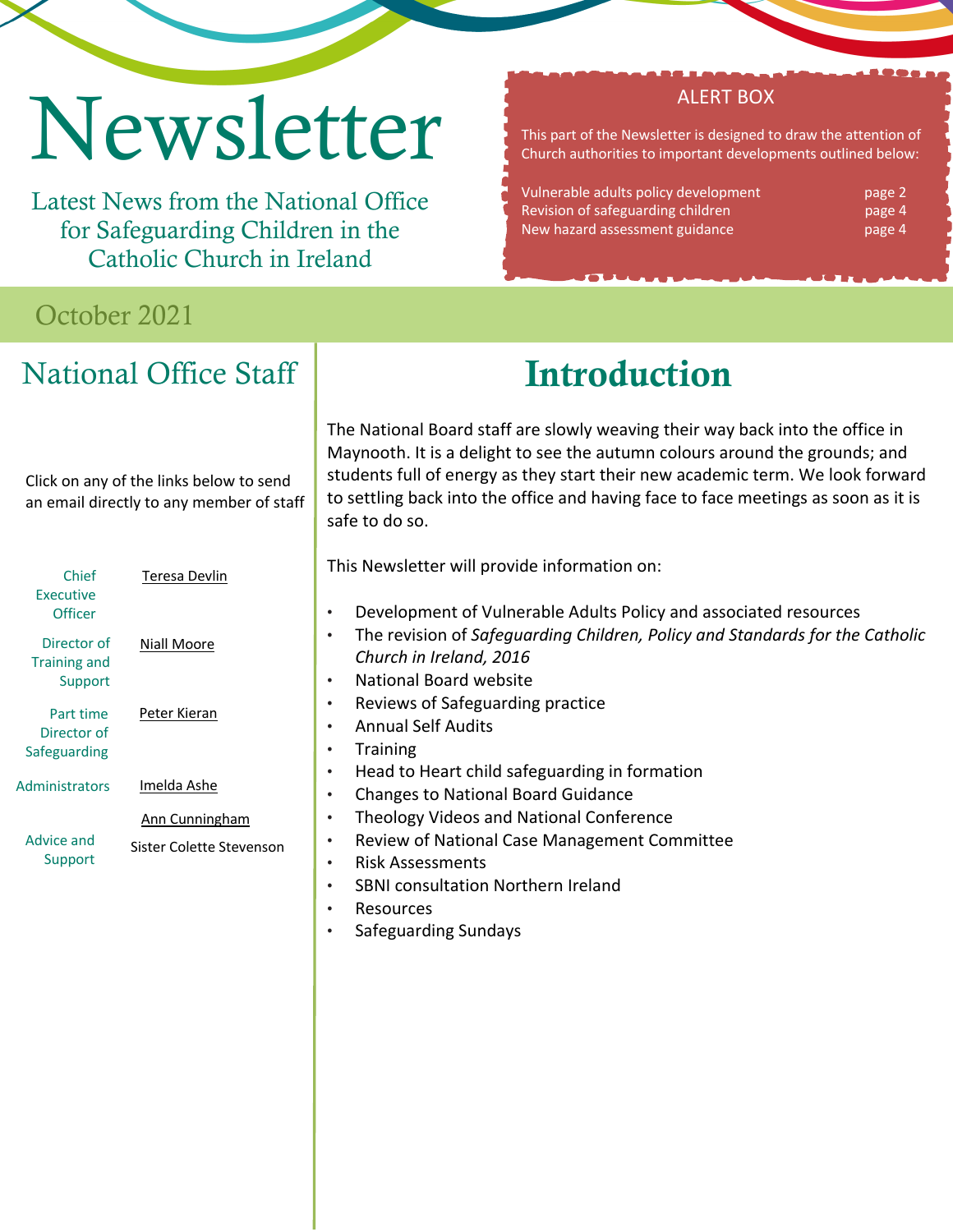# Newsletter

Latest News from the National Office for Safeguarding Children in the Catholic Church in Ireland

### October 2021

# National Office Staff

This part of the Newsletter is designed to draw the attention of Church authorities to important developments outlined below:

ALERT BOX

Vulnerable adults policy development and page 2 Revision of safeguarding children page 4 New hazard assessment guidance page 4

# Introduction

The National Board staff are slowly weaving their way back into the office in Maynooth. It is a delight to see the autumn colours around the grounds; and students full of energy as they start their new academic term. We look forward to settling back into the office and having face to face meetings as soon as it is safe to do so.

This Newsletter will provide information on:

- Development of Vulnerable Adults Policy and associated resources
- The revision of *Safeguarding Children, Policy and Standards for the Catholic Church in Ireland, 2016*
- National Board website
- Reviews of Safeguarding practice
- Annual Self Audits
- Training
- Head to Heart child safeguarding in formation
- Changes to National Board Guidance
- Theology Videos and National Conference
- Review of National Case Management Committee
- Risk Assessments
- SBNI consultation Northern Ireland
- **Resources**
- Safeguarding Sundays

Click on any of the links below to send an email directly to any member of staff

| Chief<br>Executive<br>Officer                 | Teresa Devlin                              |
|-----------------------------------------------|--------------------------------------------|
| Director of<br><b>Training and</b><br>Support | Niall Moore                                |
| Part time<br>Director of<br>Safeguarding      | Peter Kieran                               |
| Administrators                                | Imelda Ashe                                |
| Advice and<br>Support                         | Ann Cunningham<br>Sister Colette Stevenson |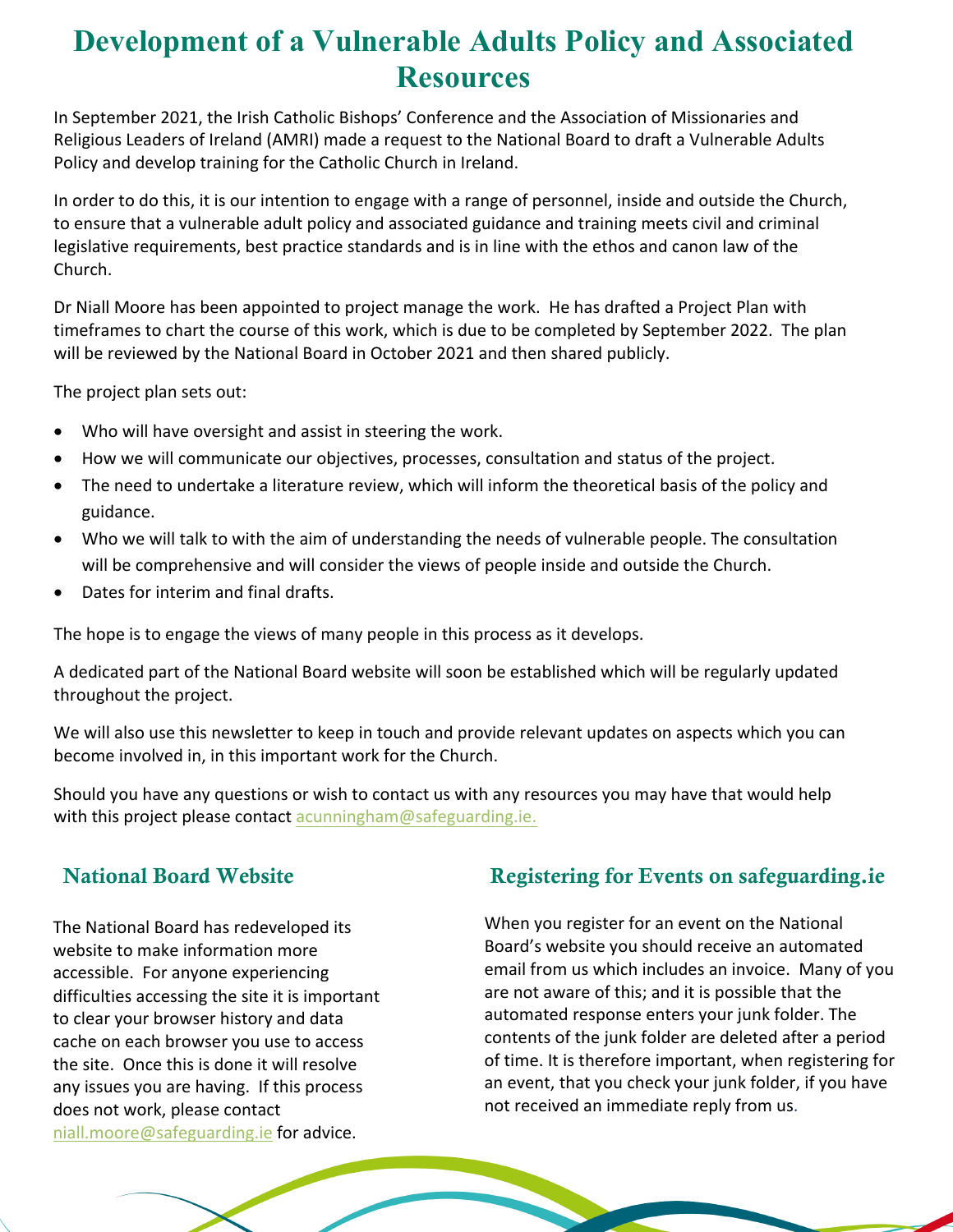## **Development of a Vulnerable Adults Policy and Associated Resources**

In September 2021, the Irish Catholic Bishops' Conference and the Association of Missionaries and Religious Leaders of Ireland (AMRI) made a request to the National Board to draft a Vulnerable Adults Policy and develop training for the Catholic Church in Ireland.

In order to do this, it is our intention to engage with a range of personnel, inside and outside the Church, to ensure that a vulnerable adult policy and associated guidance and training meets civil and criminal legislative requirements, best practice standards and is in line with the ethos and canon law of the Church.

Dr Niall Moore has been appointed to project manage the work. He has drafted a Project Plan with timeframes to chart the course of this work, which is due to be completed by September 2022. The plan will be reviewed by the National Board in October 2021 and then shared publicly.

The project plan sets out:

- Who will have oversight and assist in steering the work.
- How we will communicate our objectives, processes, consultation and status of the project.
- The need to undertake a literature review, which will inform the theoretical basis of the policy and guidance.
- Who we will talk to with the aim of understanding the needs of vulnerable people. The consultation will be comprehensive and will consider the views of people inside and outside the Church.
- Dates for interim and final drafts.

The hope is to engage the views of many people in this process as it develops.

A dedicated part of the National Board website will soon be established which will be regularly updated throughout the project.

We will also use this newsletter to keep in touch and provide relevant updates on aspects which you can become involved in, in this important work for the Church.

Should you have any questions or wish to contact us with any resources you may have that would help with this project please contact acunningham@safeguarding.ie.

### National Board Website

The National Board has redeveloped its website to make information more accessible. For anyone experiencing difficulties accessing the site it is important to clear your browser history and data cache on each browser you use to access the site. Once this is done it will resolve any issues you are having. If this process does not work, please contact niall.moore@safeguarding.ie for advice.

#### Registering for Events on safeguarding.ie

When you register for an event on the National Board's website you should receive an automated email from us which includes an invoice. Many of you are not aware of this; and it is possible that the automated response enters your junk folder. The contents of the junk folder are deleted after a period of time. It is therefore important, when registering for an event, that you check your junk folder, if you have not received an immediate reply from us.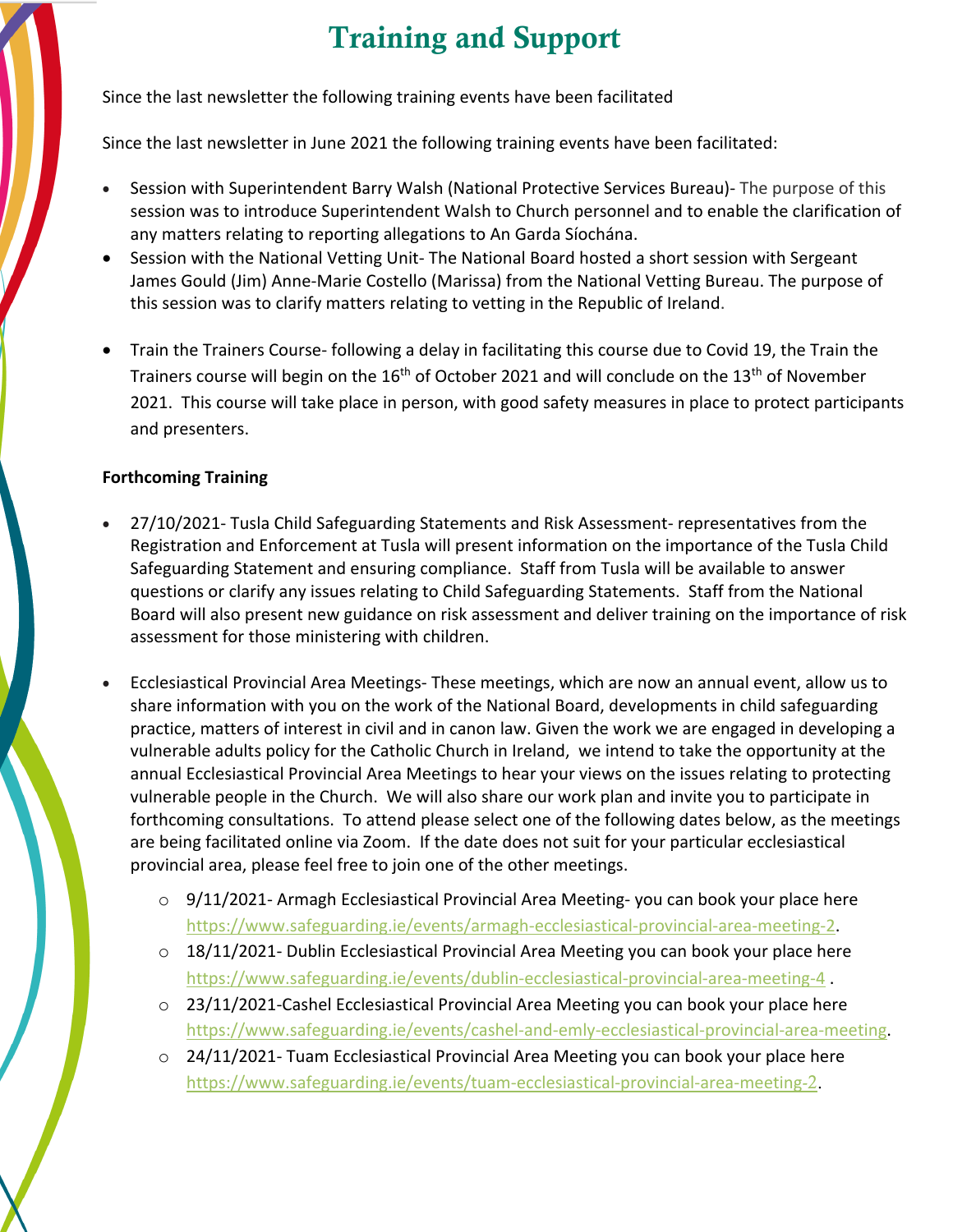# Training and Support

Since the last newsletter the following training events have been facilitated

Since the last newsletter in June 2021 the following training events have been facilitated:

- Session with Superintendent Barry Walsh (National Protective Services Bureau)- The purpose of this session was to introduce Superintendent Walsh to Church personnel and to enable the clarification of any matters relating to reporting allegations to An Garda Síochána.
- Session with the National Vetting Unit- The National Board hosted a short session with Sergeant James Gould (Jim) Anne-Marie Costello (Marissa) from the National Vetting Bureau. The purpose of this session was to clarify matters relating to vetting in the Republic of Ireland.
- Train the Trainers Course- following a delay in facilitating this course due to Covid 19, the Train the Trainers course will begin on the  $16<sup>th</sup>$  of October 2021 and will conclude on the  $13<sup>th</sup>$  of November 2021. This course will take place in person, with good safety measures in place to protect participants and presenters.

#### **Forthcoming Training**

- 27/10/2021- Tusla Child Safeguarding Statements and Risk Assessment- representatives from the Registration and Enforcement at Tusla will present information on the importance of the Tusla Child Safeguarding Statement and ensuring compliance. Staff from Tusla will be available to answer questions or clarify any issues relating to Child Safeguarding Statements. Staff from the National Board will also present new guidance on risk assessment and deliver training on the importance of risk assessment for those ministering with children.
- Ecclesiastical Provincial Area Meetings- These meetings, which are now an annual event, allow us to share information with you on the work of the National Board, developments in child safeguarding practice, matters of interest in civil and in canon law. Given the work we are engaged in developing a vulnerable adults policy for the Catholic Church in Ireland, we intend to take the opportunity at the annual Ecclesiastical Provincial Area Meetings to hear your views on the issues relating to protecting vulnerable people in the Church. We will also share our work plan and invite you to participate in forthcoming consultations. To attend please select one of the following dates below, as the meetings are being facilitated online via Zoom. If the date does not suit for your particular ecclesiastical provincial area, please feel free to join one of the other meetings.
	- $\circ$  9/11/2021- Armagh Ecclesiastical Provincial Area Meeting-you can book your place here https://www.safeguarding.ie/events/armagh-ecclesiastical-provincial-area-meeting-2.
	- o 18/11/2021- Dublin Ecclesiastical Provincial Area Meeting you can book your place here https://www.safeguarding.ie/events/dublin-ecclesiastical-provincial-area-meeting-4 .
	- o 23/11/2021-Cashel Ecclesiastical Provincial Area Meeting you can book your place here https://www.safeguarding.ie/events/cashel-and-emly-ecclesiastical-provincial-area-meeting.
	- o 24/11/2021- Tuam Ecclesiastical Provincial Area Meeting you can book your place here https://www.safeguarding.ie/events/tuam-ecclesiastical-provincial-area-meeting-2.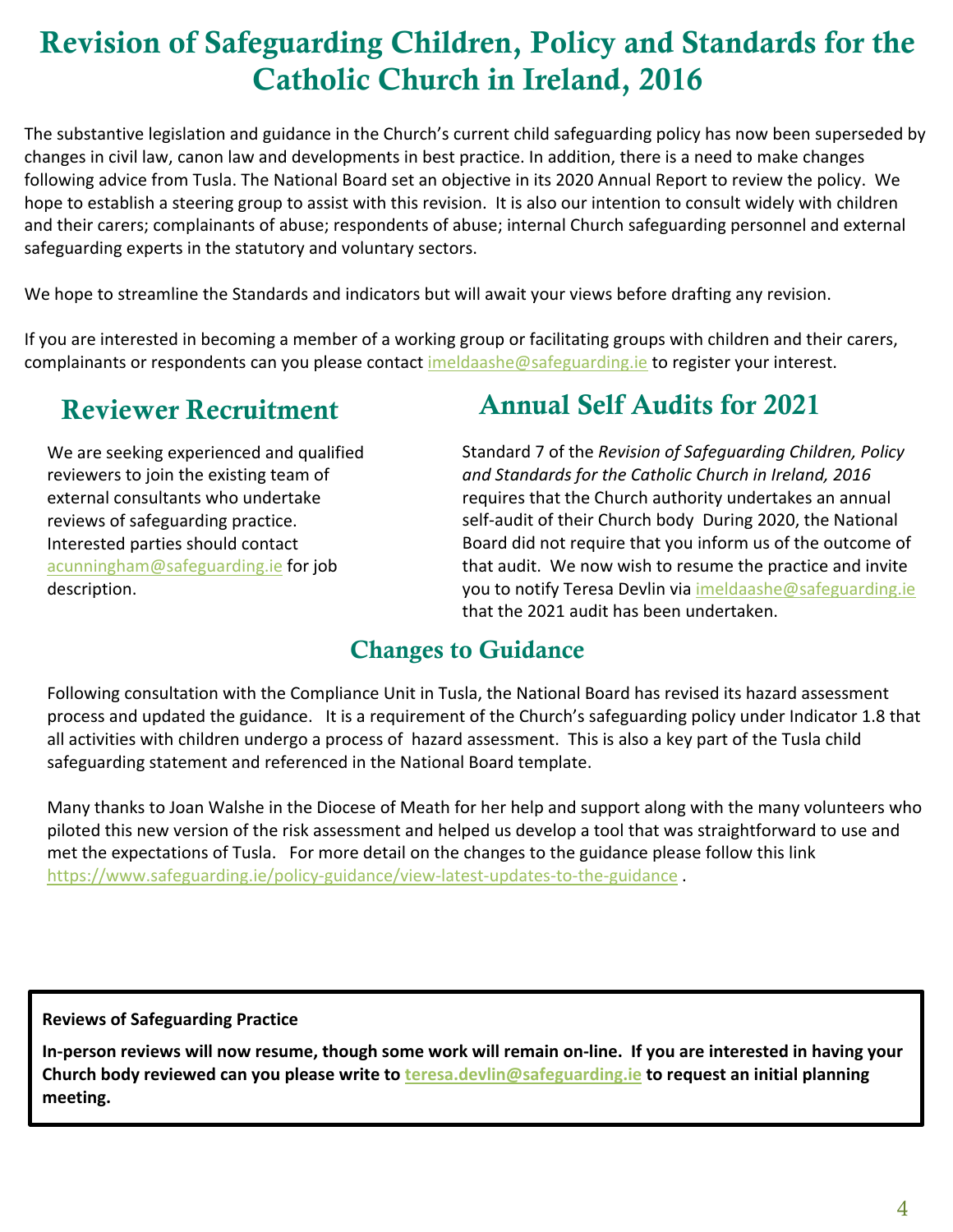# Revision of Safeguarding Children, Policy and Standards for the Catholic Church in Ireland, 2016

The substantive legislation and guidance in the Church's current child safeguarding policy has now been superseded by changes in civil law, canon law and developments in best practice. In addition, there is a need to make changes following advice from Tusla. The National Board set an objective in its 2020 Annual Report to review the policy. We hope to establish a steering group to assist with this revision. It is also our intention to consult widely with children and their carers; complainants of abuse; respondents of abuse; internal Church safeguarding personnel and external safeguarding experts in the statutory and voluntary sectors.

We hope to streamline the Standards and indicators but will await your views before drafting any revision.

If you are interested in becoming a member of a working group or facilitating groups with children and their carers, complainants or respondents can you please contact imeldaashe@safeguarding.ie to register your interest.

### Reviewer Recruitment

We are seeking experienced and qualified reviewers to join the existing team of external consultants who undertake reviews of safeguarding practice. Interested parties should contact acunningham@safeguarding.ie for job description.

### Annual Self Audits for 2021

Standard 7 of the *Revision of Safeguarding Children, Policy and Standards for the Catholic Church in Ireland, 2016* requires that the Church authority undertakes an annual self-audit of their Church body During 2020, the National Board did not require that you inform us of the outcome of that audit. We now wish to resume the practice and invite you to notify Teresa Devlin via imeldaashe@safeguarding.ie that the 2021 audit has been undertaken.

### Changes to Guidance

Following consultation with the Compliance Unit in Tusla, the National Board has revised its hazard assessment process and updated the guidance. It is a requirement of the Church's safeguarding policy under Indicator 1.8 that all activities with children undergo a process of hazard assessment. This is also a key part of the Tusla child safeguarding statement and referenced in the National Board template.

Many thanks to Joan Walshe in the Diocese of Meath for her help and support along with the many volunteers who piloted this new version of the risk assessment and helped us develop a tool that was straightforward to use and met the expectations of Tusla. For more detail on the changes to the guidance please follow this link https://www.safeguarding.ie/policy-guidance/view-latest-updates-to-the-guidance .

**Reviews of Safeguarding Practice**

**In-person reviews will now resume, though some work will remain on-line. If you are interested in having your Church body reviewed can you please write to teresa.devlin@safeguarding.ie to request an initial planning meeting.**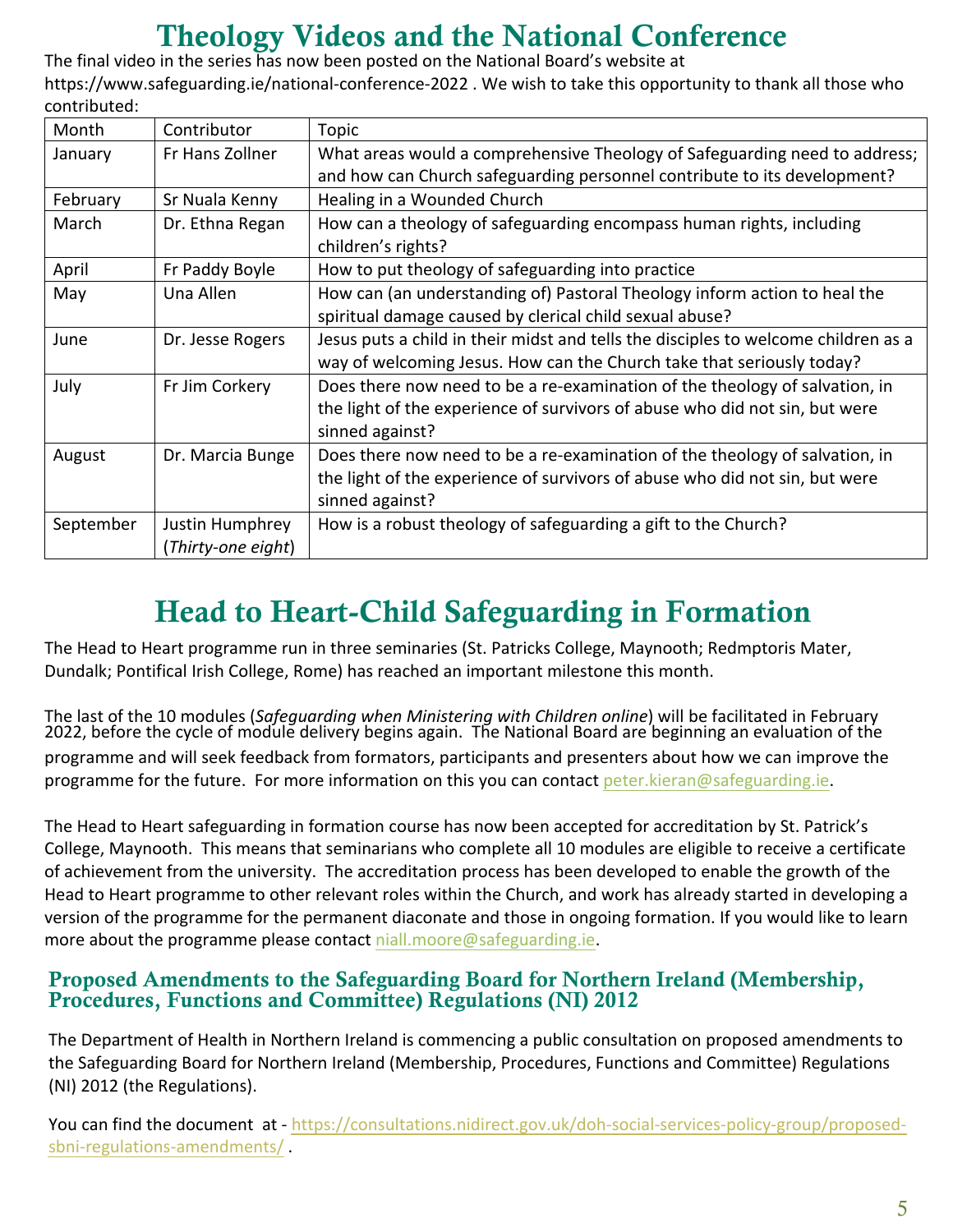# Theology Videos and the National Conference

The final video in the series has now been posted on the National Board's website at https://www.safeguarding.ie/national-conference-2022 . We wish to take this opportunity to thank all those who contributed:

| Month     | Contributor        | Topic                                                                              |
|-----------|--------------------|------------------------------------------------------------------------------------|
| January   | Fr Hans Zollner    | What areas would a comprehensive Theology of Safeguarding need to address;         |
|           |                    | and how can Church safeguarding personnel contribute to its development?           |
| February  | Sr Nuala Kenny     | Healing in a Wounded Church                                                        |
| March     | Dr. Ethna Regan    | How can a theology of safeguarding encompass human rights, including               |
|           |                    | children's rights?                                                                 |
| April     | Fr Paddy Boyle     | How to put theology of safeguarding into practice                                  |
| May       | Una Allen          | How can (an understanding of) Pastoral Theology inform action to heal the          |
|           |                    | spiritual damage caused by clerical child sexual abuse?                            |
| June      | Dr. Jesse Rogers   | Jesus puts a child in their midst and tells the disciples to welcome children as a |
|           |                    | way of welcoming Jesus. How can the Church take that seriously today?              |
| July      | Fr Jim Corkery     | Does there now need to be a re-examination of the theology of salvation, in        |
|           |                    | the light of the experience of survivors of abuse who did not sin, but were        |
|           |                    | sinned against?                                                                    |
| August    | Dr. Marcia Bunge   | Does there now need to be a re-examination of the theology of salvation, in        |
|           |                    | the light of the experience of survivors of abuse who did not sin, but were        |
|           |                    | sinned against?                                                                    |
| September | Justin Humphrey    | How is a robust theology of safeguarding a gift to the Church?                     |
|           | (Thirty-one eight) |                                                                                    |

# Head to Heart-Child Safeguarding in Formation

The Head to Heart programme run in three seminaries (St. Patricks College, Maynooth; Redmptoris Mater, Dundalk; Pontifical Irish College, Rome) has reached an important milestone this month.

The last of the 10 modules (*Safeguarding when Ministering with Children online*) will be facilitated in February 2022, before the cycle of module delivery begins again. The National Board are beginning an evaluation of the programme and will seek feedback from formators, participants and presenters about how we can improve the programme for the future. For more information on this you can contact peter.kieran@safeguarding.ie.

The Head to Heart safeguarding in formation course has now been accepted for accreditation by St. Patrick's College, Maynooth. This means that seminarians who complete all 10 modules are eligible to receive a certificate of achievement from the university. The accreditation process has been developed to enable the growth of the Head to Heart programme to other relevant roles within the Church, and work has already started in developing a version of the programme for the permanent diaconate and those in ongoing formation. If you would like to learn more about the programme please contact niall.moore@safeguarding.ie.

#### Proposed Amendments to the Safeguarding Board for Northern Ireland (Membership, Procedures, Functions and Committee) Regulations (NI) 2012

The Department of Health in Northern Ireland is commencing a public consultation on proposed amendments to the Safeguarding Board for Northern Ireland (Membership, Procedures, Functions and Committee) Regulations (NI) 2012 (the Regulations).

You can find the document at - https://consultations.nidirect.gov.uk/doh-social-services-policy-group/proposedsbni-regulations-amendments/ .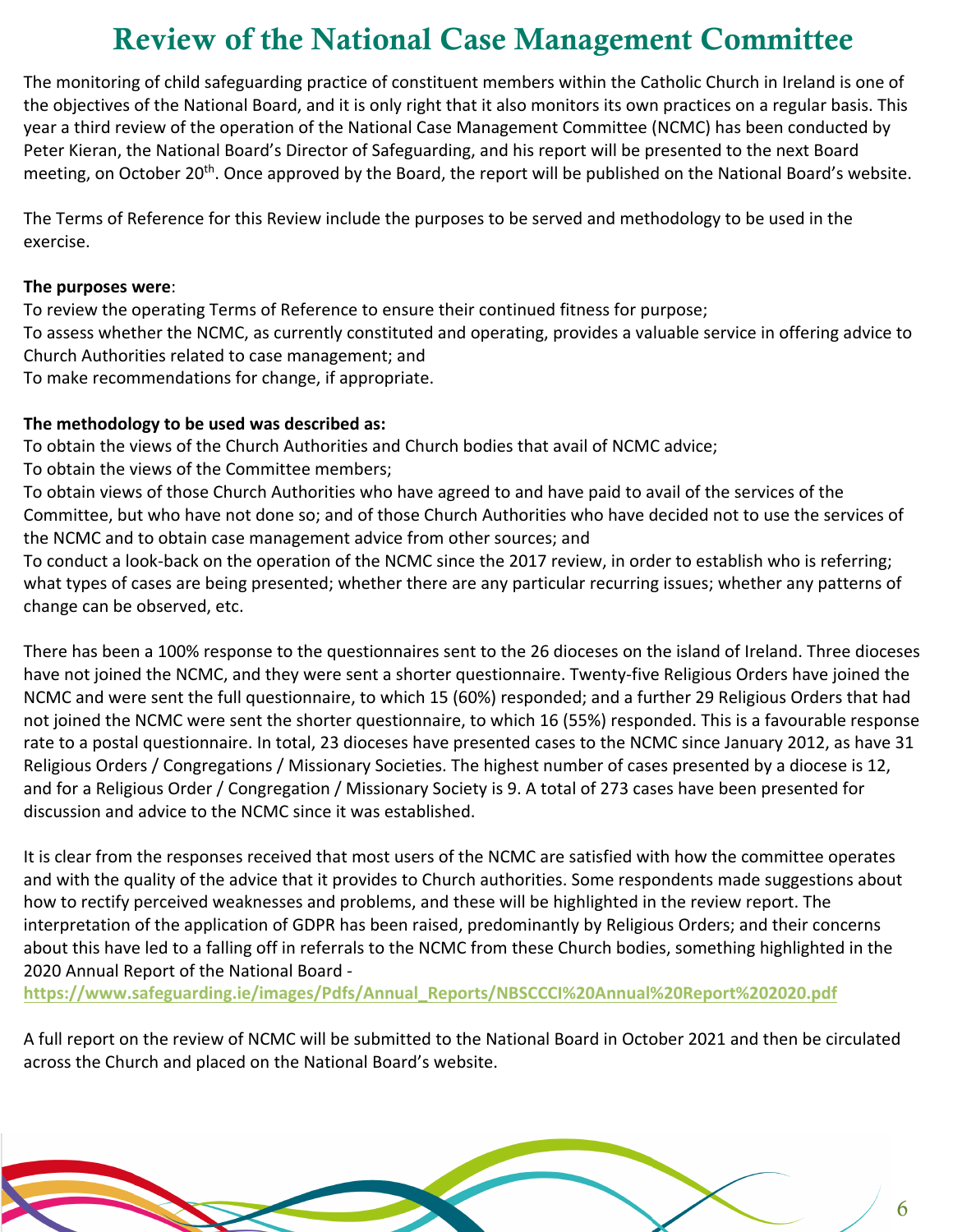# Review of the National Case Management Committee

The monitoring of child safeguarding practice of constituent members within the Catholic Church in Ireland is one of the objectives of the National Board, and it is only right that it also monitors its own practices on a regular basis. This year a third review of the operation of the National Case Management Committee (NCMC) has been conducted by Peter Kieran, the National Board's Director of Safeguarding, and his report will be presented to the next Board meeting, on October 20<sup>th</sup>. Once approved by the Board, the report will be published on the National Board's website.

The Terms of Reference for this Review include the purposes to be served and methodology to be used in the exercise.

#### **The purposes were**:

1. To review the operating Terms of Reference to ensure their continued fitness for purpose; To assess whether the NCMC, as currently constituted and operating, provides a valuable service in offering advice to Church Authorities related to case management; and To make recommendations for change, if appropriate.

#### **The methodology to be used was described as:**

To obtain the views of the Church Authorities and Church bodies that avail of NCMC advice; To obtain the views of the Committee members;

To obtain views of those Church Authorities who have agreed to and have paid to avail of the services of the Committee, but who have not done so; and of those Church Authorities who have decided not to use the services of the NCMC and to obtain case management advice from other sources; and

To conduct a look-back on the operation of the NCMC since the 2017 review, in order to establish who is referring; what types of cases are being presented; whether there are any particular recurring issues; whether any patterns of change can be observed, etc.

There has been a 100% response to the questionnaires sent to the 26 dioceses on the island of Ireland. Three dioceses have not joined the NCMC, and they were sent a shorter questionnaire. Twenty-five Religious Orders have joined the NCMC and were sent the full questionnaire, to which 15 (60%) responded; and a further 29 Religious Orders that had not joined the NCMC were sent the shorter questionnaire, to which 16 (55%) responded. This is a favourable response rate to a postal questionnaire. In total, 23 dioceses have presented cases to the NCMC since January 2012, as have 31 Religious Orders / Congregations / Missionary Societies. The highest number of cases presented by a diocese is 12, and for a Religious Order / Congregation / Missionary Society is 9. A total of 273 cases have been presented for discussion and advice to the NCMC since it was established.

It is clear from the responses received that most users of the NCMC are satisfied with how the committee operates and with the quality of the advice that it provides to Church authorities. Some respondents made suggestions about how to rectify perceived weaknesses and problems, and these will be highlighted in the review report. The interpretation of the application of GDPR has been raised, predominantly by Religious Orders; and their concerns about this have led to a falling off in referrals to the NCMC from these Church bodies, something highlighted in the 2020 Annual Report of the National Board -

**https://www.safeguarding.ie/images/Pdfs/Annual\_Reports/NBSCCCI%20Annual%20Report%202020.pdf**

A full report on the review of NCMC will be submitted to the National Board in October 2021 and then be circulated across the Church and placed on the National Board's website.

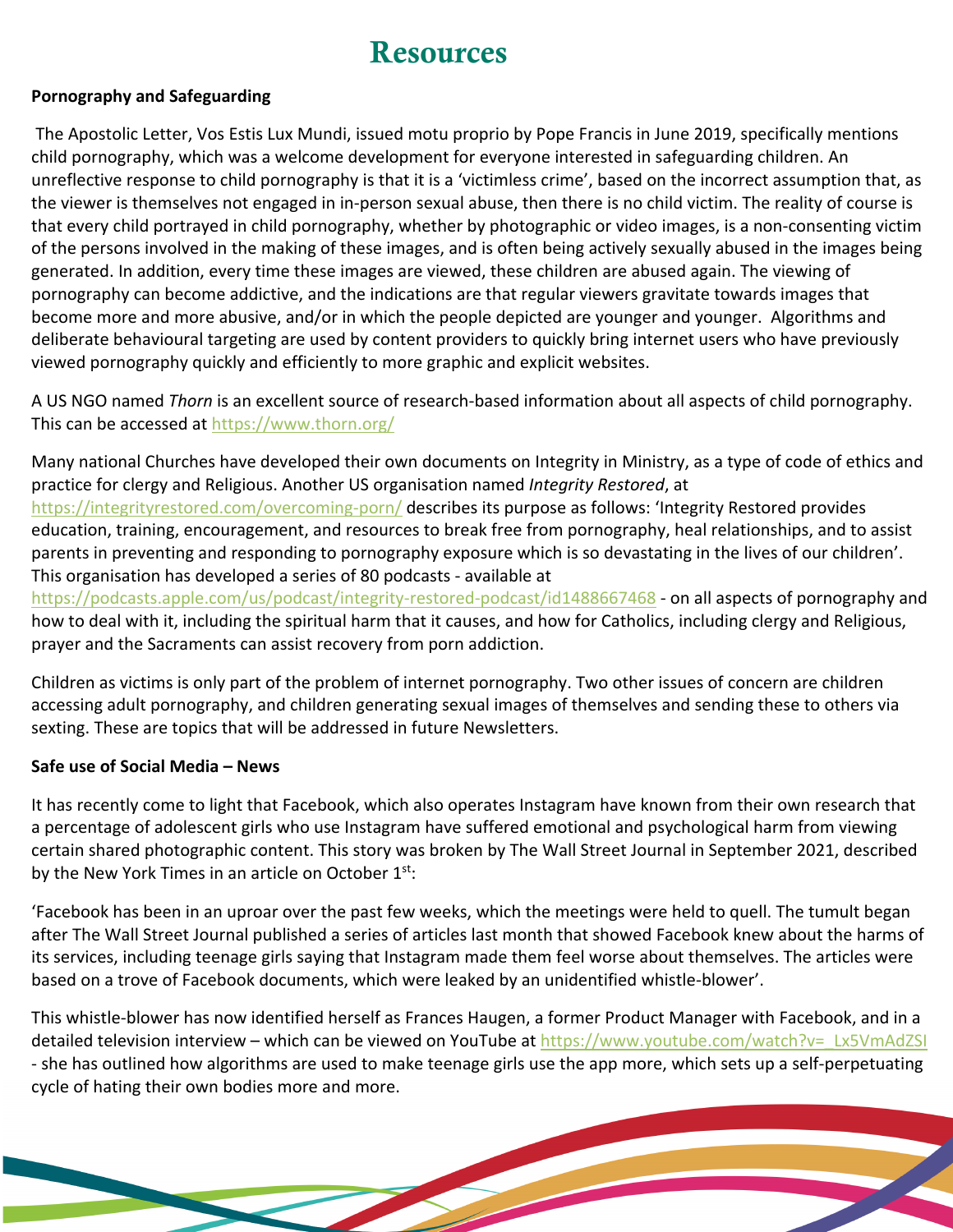### **Resources**

#### **Pornography and Safeguarding**

The Apostolic Letter, Vos Estis Lux Mundi, issued motu proprio by Pope Francis in June 2019, specifically mentions child pornography, which was a welcome development for everyone interested in safeguarding children. An unreflective response to child pornography is that it is a 'victimless crime', based on the incorrect assumption that, as the viewer is themselves not engaged in in-person sexual abuse, then there is no child victim. The reality of course is that every child portrayed in child pornography, whether by photographic or video images, is a non-consenting victim of the persons involved in the making of these images, and is often being actively sexually abused in the images being generated. In addition, every time these images are viewed, these children are abused again. The viewing of pornography can become addictive, and the indications are that regular viewers gravitate towards images that become more and more abusive, and/or in which the people depicted are younger and younger. Algorithms and deliberate behavioural targeting are used by content providers to quickly bring internet users who have previously viewed pornography quickly and efficiently to more graphic and explicit websites.

A US NGO named *Thorn* is an excellent source of research-based information about all aspects of child pornography. This can be accessed at https://www.thorn.org/

Many national Churches have developed their own documents on Integrity in Ministry, as a type of code of ethics and practice for clergy and Religious. Another US organisation named *Integrity Restored*, at

https://integrityrestored.com/overcoming-porn/ describes its purpose as follows: 'Integrity Restored provides education, training, encouragement, and resources to break free from pornography, heal relationships, and to assist parents in preventing and responding to pornography exposure which is so devastating in the lives of our children'. This organisation has developed a series of 80 podcasts - available at

https://podcasts.apple.com/us/podcast/integrity-restored-podcast/id1488667468 - on all aspects of pornography and how to deal with it, including the spiritual harm that it causes, and how for Catholics, including clergy and Religious, prayer and the Sacraments can assist recovery from porn addiction.

Children as victims is only part of the problem of internet pornography. Two other issues of concern are children accessing adult pornography, and children generating sexual images of themselves and sending these to others via sexting. These are topics that will be addressed in future Newsletters.

#### **Safe use of Social Media – News**

It has recently come to light that Facebook, which also operates Instagram have known from their own research that a percentage of adolescent girls who use Instagram have suffered emotional and psychological harm from viewing certain shared photographic content. This story was broken by The Wall Street Journal in September 2021, described by the New York Times in an article on October  $1^{st}$ :

'Facebook has been in an uproar over the past few weeks, which the meetings were held to quell. The tumult began after The Wall Street Journal published a series of articles last month that showed Facebook knew about the harms of its services, including teenage girls saying that Instagram made them feel worse about themselves. The articles were based on a trove of Facebook documents, which were leaked by an unidentified whistle-blower'.

This whistle-blower has now identified herself as Frances Haugen, a former Product Manager with Facebook, and in a detailed television interview – which can be viewed on YouTube at https://www.youtube.com/watch?v= Lx5VmAdZSI - she has outlined how algorithms are used to make teenage girls use the app more, which sets up a self-perpetuating cycle of hating their own bodies more and more.

7